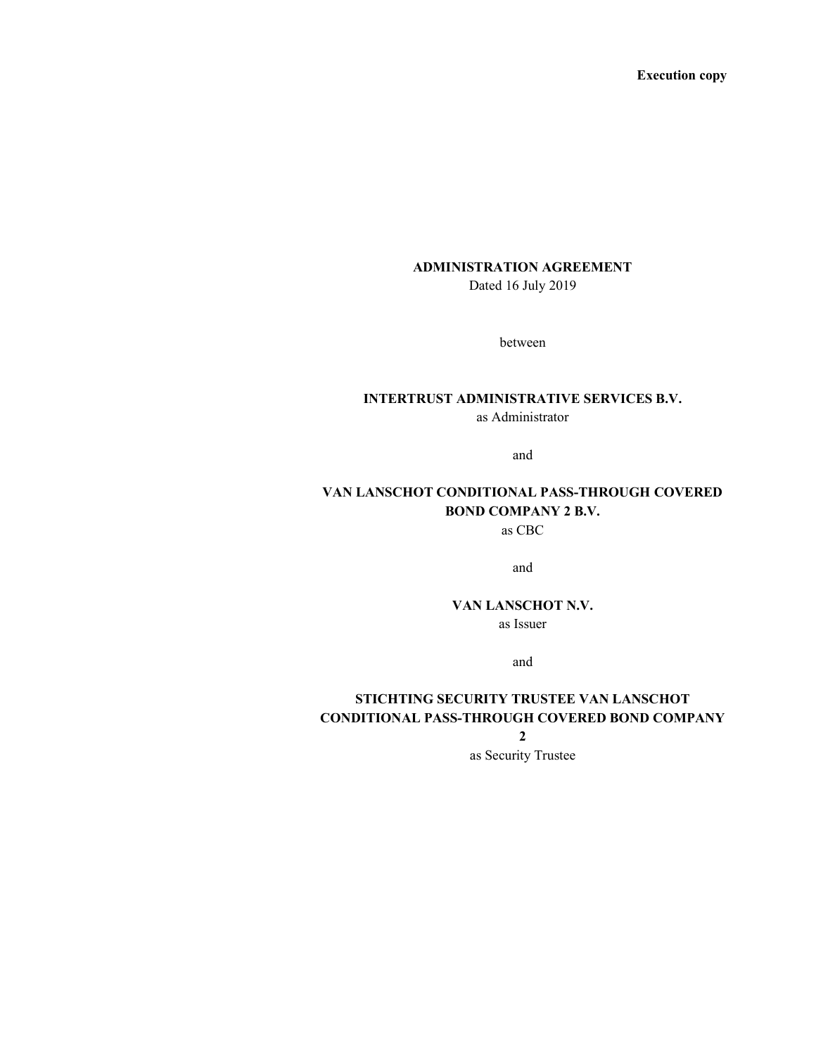Execution copy

# ADMINISTRATION AGREEMENT

Dated 16 July 2019

between

# INTERTRUST ADMINISTRATIVE SERVICES B.V.

as Administrator

and

# VAN LANSCHOT CONDITIONAL PASS-THROUGH COVERED BOND COMPANY 2 B.V.

as CBC

and

# VAN LANSCHOT N.V.

as Issuer

and

# STICHTING SECURITY TRUSTEE VAN LANSCHOT CONDITIONAL PASS-THROUGH COVERED BOND COMPANY

2

as Security Trustee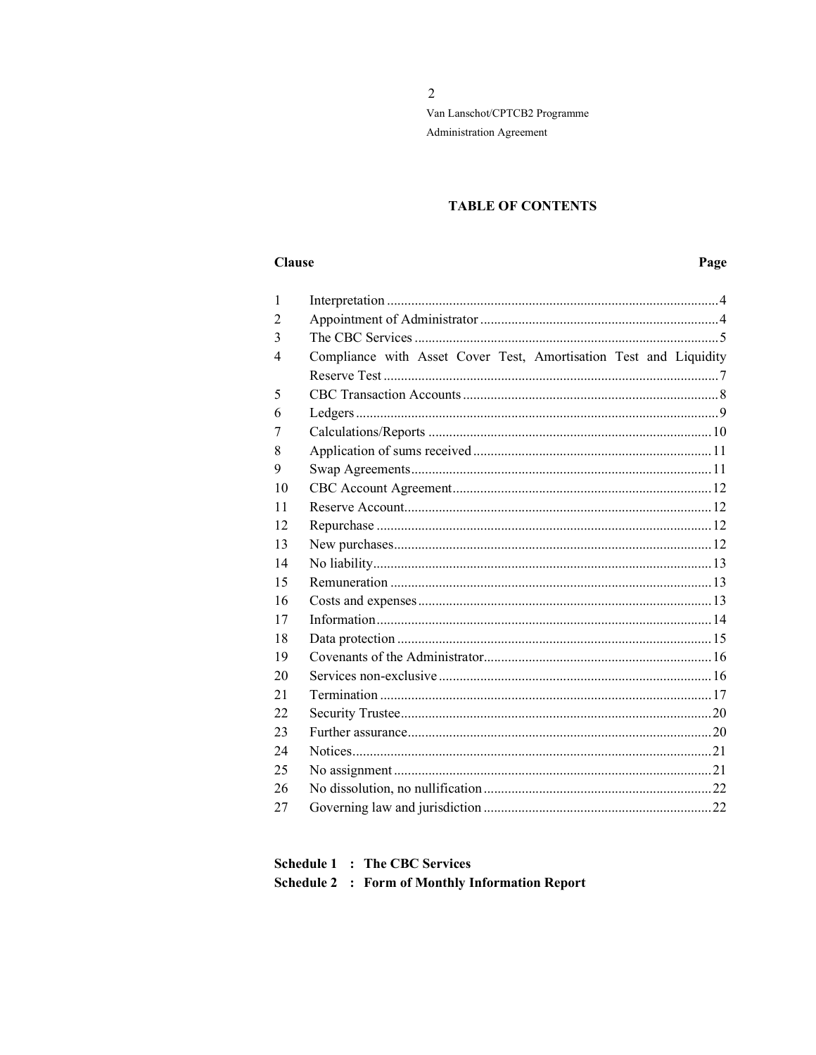$\overline{2}$ Van Lanschot/CPTCB2 Programme Administration Agreement

# **TABLE OF CONTENTS**

#### **Clause**

# Page

| $\mathbf{1}$ |                                                                   |
|--------------|-------------------------------------------------------------------|
| 2            |                                                                   |
| 3            |                                                                   |
| 4            | Compliance with Asset Cover Test, Amortisation Test and Liquidity |
|              |                                                                   |
| 5            |                                                                   |
| 6            |                                                                   |
| 7            |                                                                   |
| 8            |                                                                   |
| 9            |                                                                   |
| 10           |                                                                   |
| 11           |                                                                   |
| 12           |                                                                   |
| 13           |                                                                   |
| 14           |                                                                   |
| 15           |                                                                   |
| 16           |                                                                   |
| 17           |                                                                   |
| 18           |                                                                   |
| 19           |                                                                   |
| 20           |                                                                   |
| 21           |                                                                   |
| 22           |                                                                   |
| 23           |                                                                   |
| 24           |                                                                   |
| 25           |                                                                   |
| 26           |                                                                   |
| 27           |                                                                   |

**Schedule 2 : Form of Monthly Information Report**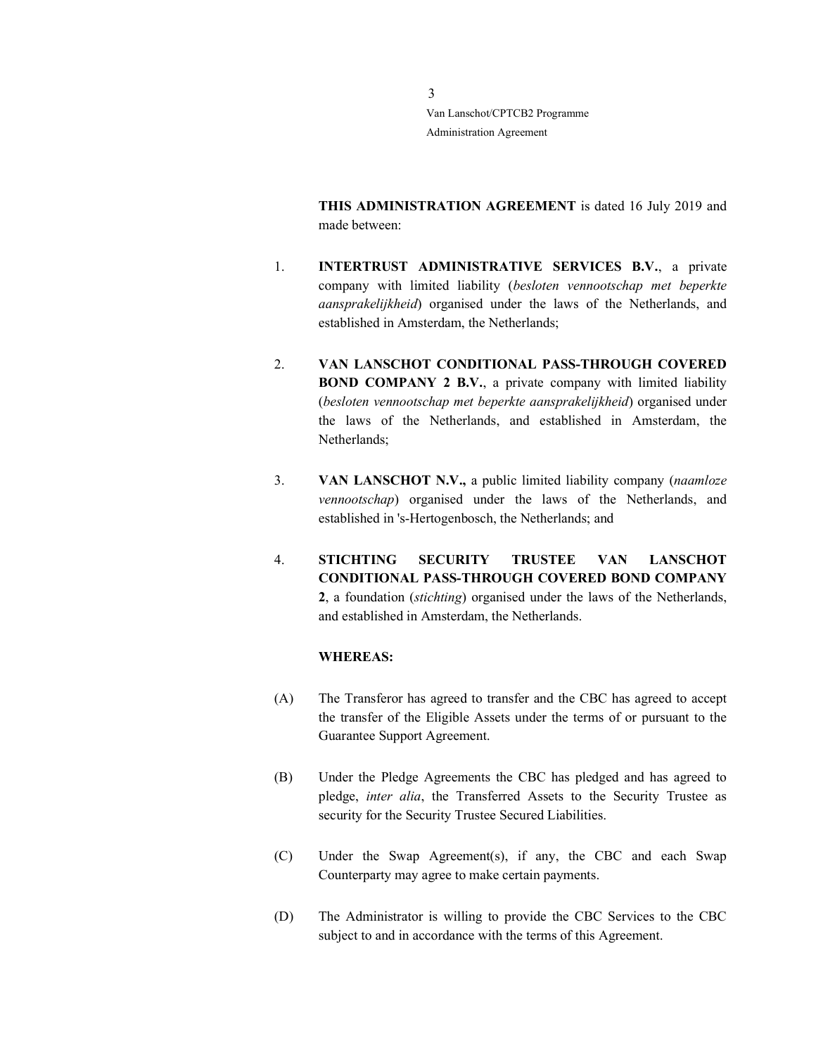> THIS ADMINISTRATION AGREEMENT is dated 16 July 2019 and made between:

- 1. INTERTRUST ADMINISTRATIVE SERVICES B.V., a private company with limited liability (besloten vennootschap met beperkte aansprakelijkheid) organised under the laws of the Netherlands, and established in Amsterdam, the Netherlands;
- 2. VAN LANSCHOT CONDITIONAL PASS-THROUGH COVERED BOND COMPANY 2 B.V., a private company with limited liability (besloten vennootschap met beperkte aansprakelijkheid) organised under the laws of the Netherlands, and established in Amsterdam, the Netherlands;
- 3. VAN LANSCHOT N.V., a public limited liability company (naamloze vennootschap) organised under the laws of the Netherlands, and established in 's-Hertogenbosch, the Netherlands; and
- 4. STICHTING SECURITY TRUSTEE VAN LANSCHOT CONDITIONAL PASS-THROUGH COVERED BOND COMPANY 2, a foundation (stichting) organised under the laws of the Netherlands, and established in Amsterdam, the Netherlands.

#### WHEREAS:

- (A) The Transferor has agreed to transfer and the CBC has agreed to accept the transfer of the Eligible Assets under the terms of or pursuant to the Guarantee Support Agreement.
- (B) Under the Pledge Agreements the CBC has pledged and has agreed to pledge, inter alia, the Transferred Assets to the Security Trustee as security for the Security Trustee Secured Liabilities.
- (C) Under the Swap Agreement(s), if any, the CBC and each Swap Counterparty may agree to make certain payments.
- (D) The Administrator is willing to provide the CBC Services to the CBC subject to and in accordance with the terms of this Agreement.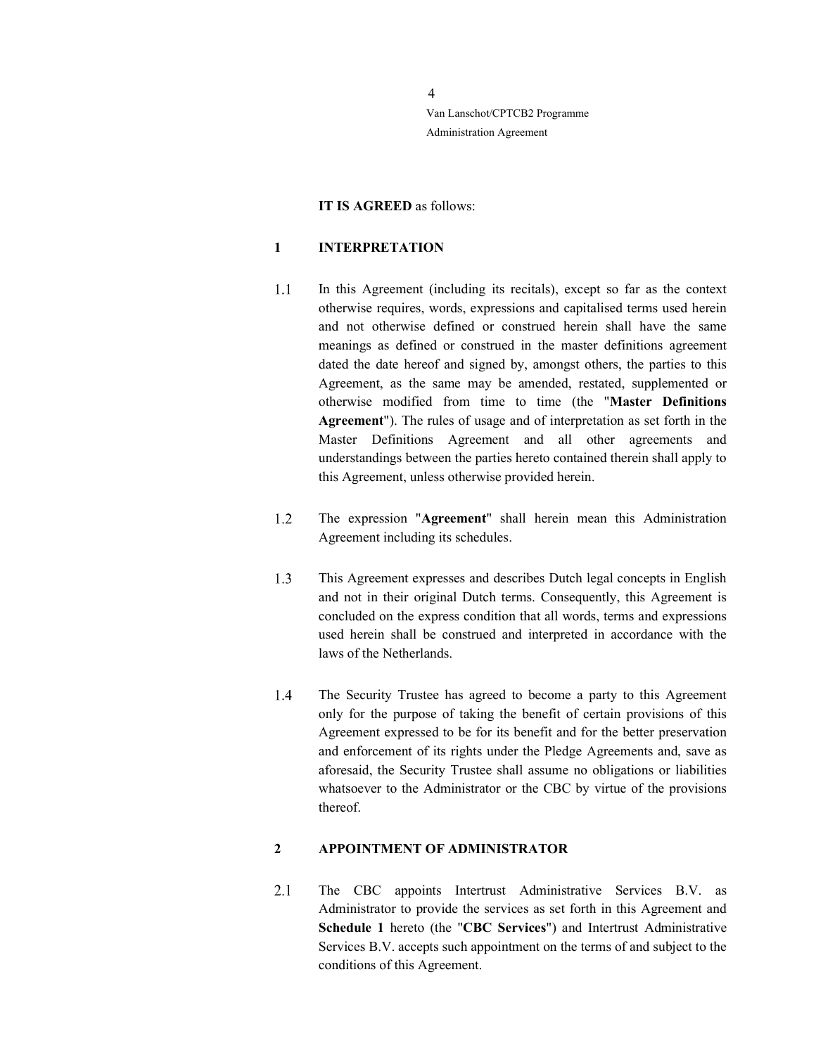### IT IS AGREED as follows:

#### 1 INTERPRETATION

- $1.1$ In this Agreement (including its recitals), except so far as the context otherwise requires, words, expressions and capitalised terms used herein and not otherwise defined or construed herein shall have the same meanings as defined or construed in the master definitions agreement dated the date hereof and signed by, amongst others, the parties to this Agreement, as the same may be amended, restated, supplemented or otherwise modified from time to time (the "Master Definitions Agreement"). The rules of usage and of interpretation as set forth in the Master Definitions Agreement and all other agreements and understandings between the parties hereto contained therein shall apply to this Agreement, unless otherwise provided herein.
- 1.2 The expression "Agreement" shall herein mean this Administration Agreement including its schedules.
- $1.3$ This Agreement expresses and describes Dutch legal concepts in English and not in their original Dutch terms. Consequently, this Agreement is concluded on the express condition that all words, terms and expressions used herein shall be construed and interpreted in accordance with the laws of the Netherlands.
- 1.4 The Security Trustee has agreed to become a party to this Agreement only for the purpose of taking the benefit of certain provisions of this Agreement expressed to be for its benefit and for the better preservation and enforcement of its rights under the Pledge Agreements and, save as aforesaid, the Security Trustee shall assume no obligations or liabilities whatsoever to the Administrator or the CBC by virtue of the provisions thereof.

#### 2 APPOINTMENT OF ADMINISTRATOR

 $2.1$ The CBC appoints Intertrust Administrative Services B.V. as Administrator to provide the services as set forth in this Agreement and Schedule 1 hereto (the "CBC Services") and Intertrust Administrative Services B.V. accepts such appointment on the terms of and subject to the conditions of this Agreement.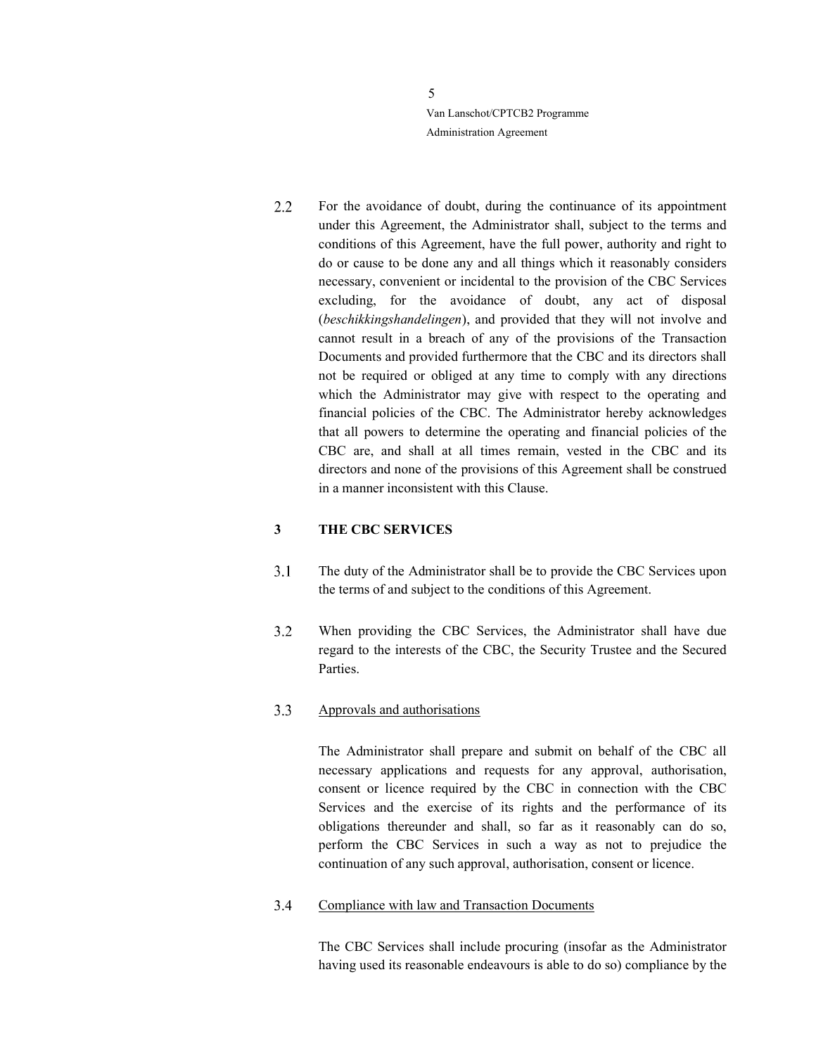$2.2$ For the avoidance of doubt, during the continuance of its appointment under this Agreement, the Administrator shall, subject to the terms and conditions of this Agreement, have the full power, authority and right to do or cause to be done any and all things which it reasonably considers necessary, convenient or incidental to the provision of the CBC Services excluding, for the avoidance of doubt, any act of disposal (beschikkingshandelingen), and provided that they will not involve and cannot result in a breach of any of the provisions of the Transaction Documents and provided furthermore that the CBC and its directors shall not be required or obliged at any time to comply with any directions which the Administrator may give with respect to the operating and financial policies of the CBC. The Administrator hereby acknowledges that all powers to determine the operating and financial policies of the CBC are, and shall at all times remain, vested in the CBC and its directors and none of the provisions of this Agreement shall be construed in a manner inconsistent with this Clause.

### 3 THE CBC SERVICES

- $3.1$ The duty of the Administrator shall be to provide the CBC Services upon the terms of and subject to the conditions of this Agreement.
- $3.2$ When providing the CBC Services, the Administrator shall have due regard to the interests of the CBC, the Security Trustee and the Secured Parties.

#### $3.3$ Approvals and authorisations

The Administrator shall prepare and submit on behalf of the CBC all necessary applications and requests for any approval, authorisation, consent or licence required by the CBC in connection with the CBC Services and the exercise of its rights and the performance of its obligations thereunder and shall, so far as it reasonably can do so, perform the CBC Services in such a way as not to prejudice the continuation of any such approval, authorisation, consent or licence.

#### $3.4$ Compliance with law and Transaction Documents

The CBC Services shall include procuring (insofar as the Administrator having used its reasonable endeavours is able to do so) compliance by the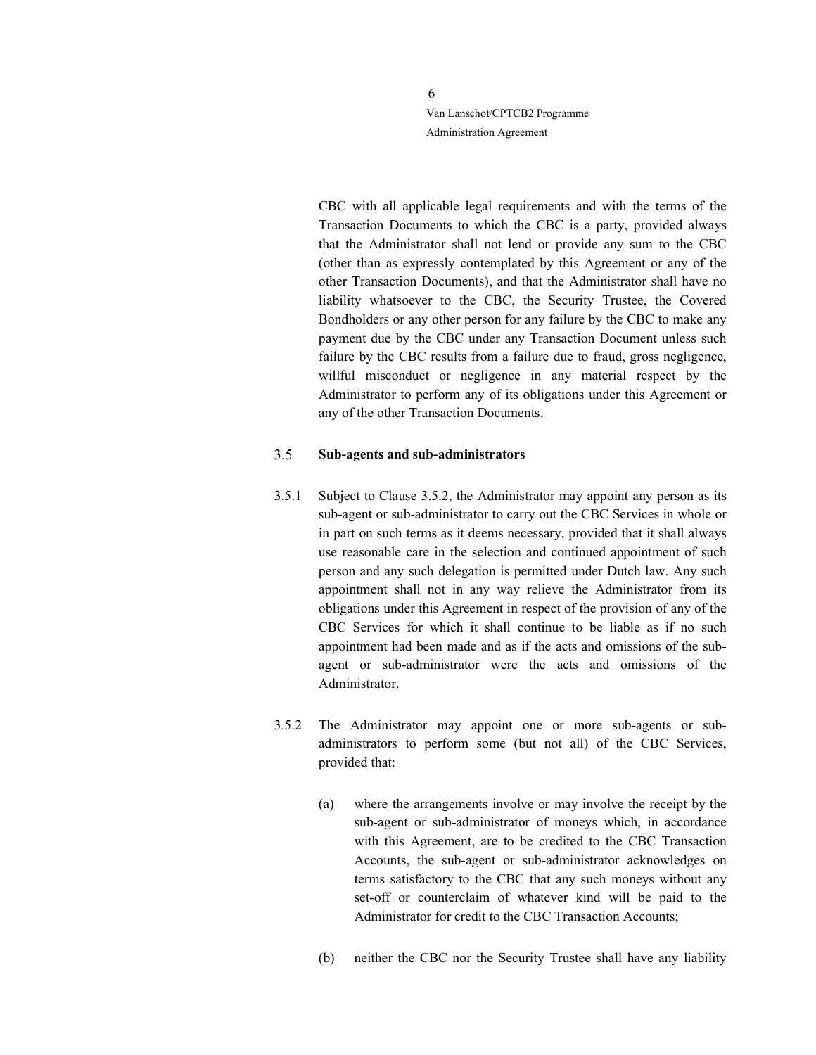> CBC with all applicable legal requirements and with the terms of the Transaction Documents to which the CBC is a party, provided always that the Administrator shall not lend or provide any sum to the CBC (other than as expressly contemplated by this Agreement or any of the other Transaction Documents), and that the Administrator shall have no liability whatsoever to the CBC, the Security Trustee, the Covered Bondholders or any other person for any failure by the CBC to make any payment due by the CBC under any Transaction Document unless such failure by the CBC results from a failure due to fraud, gross negligence, willful misconduct or negligence in any material respect by the Administrator to perform any of its obligations under this Agreement or any of the other Transaction Documents.

#### $3.5$ Sub-agents and sub-administrators

- 3.5.1 Subject to Clause 3.5.2, the Administrator may appoint any person as its sub-agent or sub-administrator to carry out the CBC Services in whole or in part on such terms as it deems necessary, provided that it shall always use reasonable care in the selection and continued appointment of such person and any such delegation is permitted under Dutch law. Any such appointment shall not in any way relieve the Administrator from its obligations under this Agreement in respect of the provision of any of the CBC Services for which it shall continue to be liable as if no such appointment had been made and as if the acts and omissions of the subagent or sub-administrator were the acts and omissions of the Administrator.
- 3.5.2 The Administrator may appoint one or more sub-agents or subadministrators to perform some (but not all) of the CBC Services, provided that:
	- (a) where the arrangements involve or may involve the receipt by the sub-agent or sub-administrator of moneys which, in accordance with this Agreement, are to be credited to the CBC Transaction Accounts, the sub-agent or sub-administrator acknowledges on terms satisfactory to the CBC that any such moneys without any set-off or counterclaim of whatever kind will be paid to the Administrator for credit to the CBC Transaction Accounts;
	- (b) neither the CBC nor the Security Trustee shall have any liability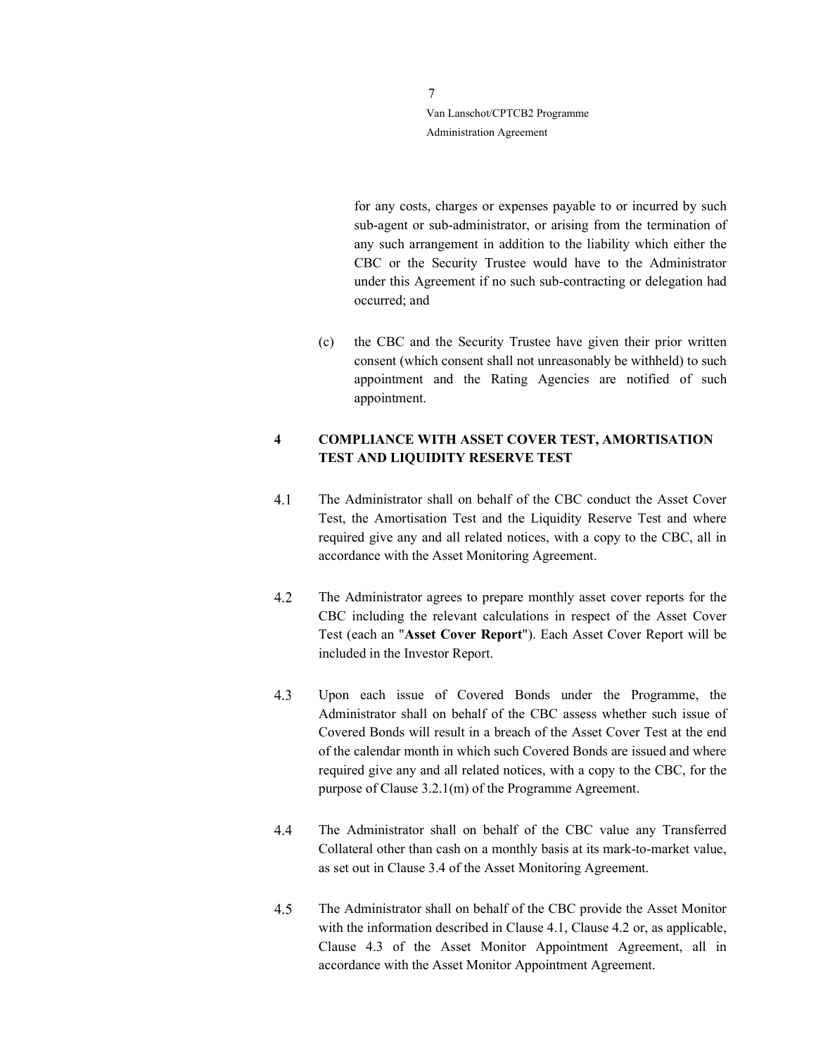> for any costs, charges or expenses payable to or incurred by such sub-agent or sub-administrator, or arising from the termination of any such arrangement in addition to the liability which either the CBC or the Security Trustee would have to the Administrator under this Agreement if no such sub-contracting or delegation had occurred; and

(c) the CBC and the Security Trustee have given their prior written consent (which consent shall not unreasonably be withheld) to such appointment and the Rating Agencies are notified of such appointment.

# 4 COMPLIANCE WITH ASSET COVER TEST, AMORTISATION TEST AND LIQUIDITY RESERVE TEST

- $4.1$ The Administrator shall on behalf of the CBC conduct the Asset Cover Test, the Amortisation Test and the Liquidity Reserve Test and where required give any and all related notices, with a copy to the CBC, all in accordance with the Asset Monitoring Agreement.
- 4.2 The Administrator agrees to prepare monthly asset cover reports for the CBC including the relevant calculations in respect of the Asset Cover Test (each an "Asset Cover Report"). Each Asset Cover Report will be included in the Investor Report.
- 4.3 Upon each issue of Covered Bonds under the Programme, the Administrator shall on behalf of the CBC assess whether such issue of Covered Bonds will result in a breach of the Asset Cover Test at the end of the calendar month in which such Covered Bonds are issued and where required give any and all related notices, with a copy to the CBC, for the purpose of Clause 3.2.1(m) of the Programme Agreement.
- 4.4 The Administrator shall on behalf of the CBC value any Transferred Collateral other than cash on a monthly basis at its mark-to-market value, as set out in Clause 3.4 of the Asset Monitoring Agreement.
- 4.5 The Administrator shall on behalf of the CBC provide the Asset Monitor with the information described in Clause 4.1, Clause 4.2 or, as applicable, Clause 4.3 of the Asset Monitor Appointment Agreement, all in accordance with the Asset Monitor Appointment Agreement.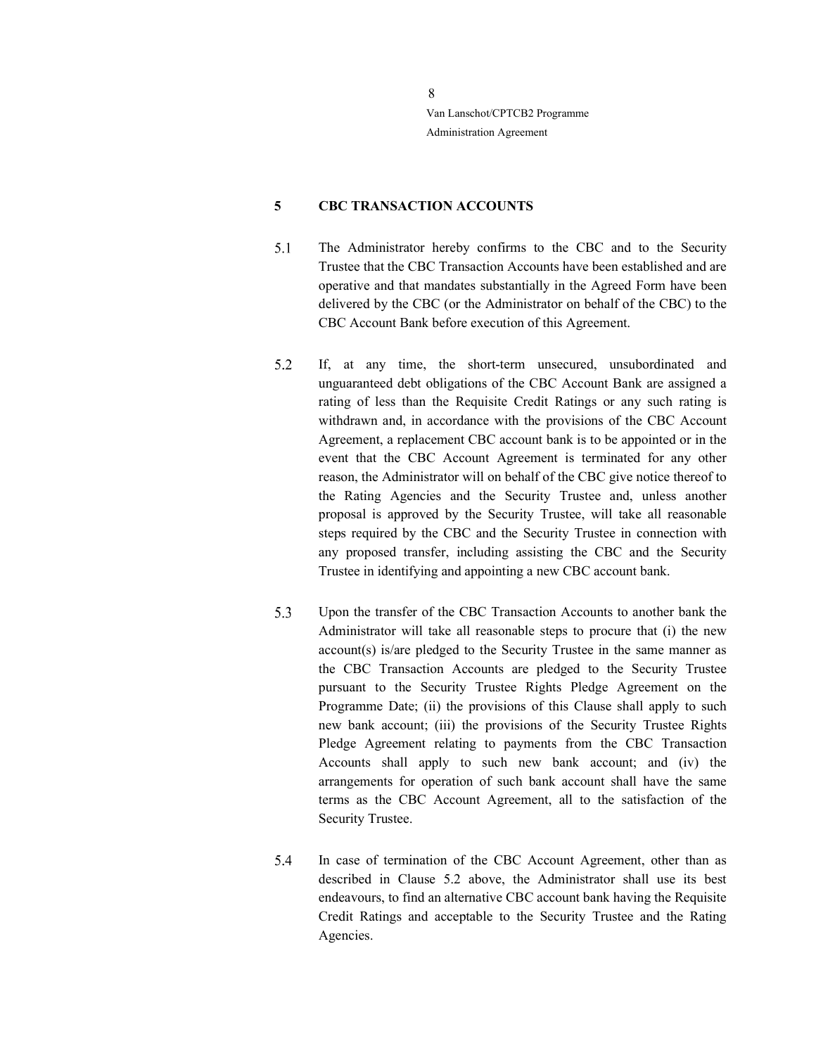# 5 CBC TRANSACTION ACCOUNTS

- The Administrator hereby confirms to the CBC and to the Security 5.1 Trustee that the CBC Transaction Accounts have been established and are operative and that mandates substantially in the Agreed Form have been delivered by the CBC (or the Administrator on behalf of the CBC) to the CBC Account Bank before execution of this Agreement.
- If, at any time, the short-term unsecured, unsubordinated and 5.2 unguaranteed debt obligations of the CBC Account Bank are assigned a rating of less than the Requisite Credit Ratings or any such rating is withdrawn and, in accordance with the provisions of the CBC Account Agreement, a replacement CBC account bank is to be appointed or in the event that the CBC Account Agreement is terminated for any other reason, the Administrator will on behalf of the CBC give notice thereof to the Rating Agencies and the Security Trustee and, unless another proposal is approved by the Security Trustee, will take all reasonable steps required by the CBC and the Security Trustee in connection with any proposed transfer, including assisting the CBC and the Security Trustee in identifying and appointing a new CBC account bank.
- 5.3 Upon the transfer of the CBC Transaction Accounts to another bank the Administrator will take all reasonable steps to procure that (i) the new account(s) is/are pledged to the Security Trustee in the same manner as the CBC Transaction Accounts are pledged to the Security Trustee pursuant to the Security Trustee Rights Pledge Agreement on the Programme Date; (ii) the provisions of this Clause shall apply to such new bank account; (iii) the provisions of the Security Trustee Rights Pledge Agreement relating to payments from the CBC Transaction Accounts shall apply to such new bank account; and (iv) the arrangements for operation of such bank account shall have the same terms as the CBC Account Agreement, all to the satisfaction of the Security Trustee.
- 5.4 In case of termination of the CBC Account Agreement, other than as described in Clause 5.2 above, the Administrator shall use its best endeavours, to find an alternative CBC account bank having the Requisite Credit Ratings and acceptable to the Security Trustee and the Rating Agencies.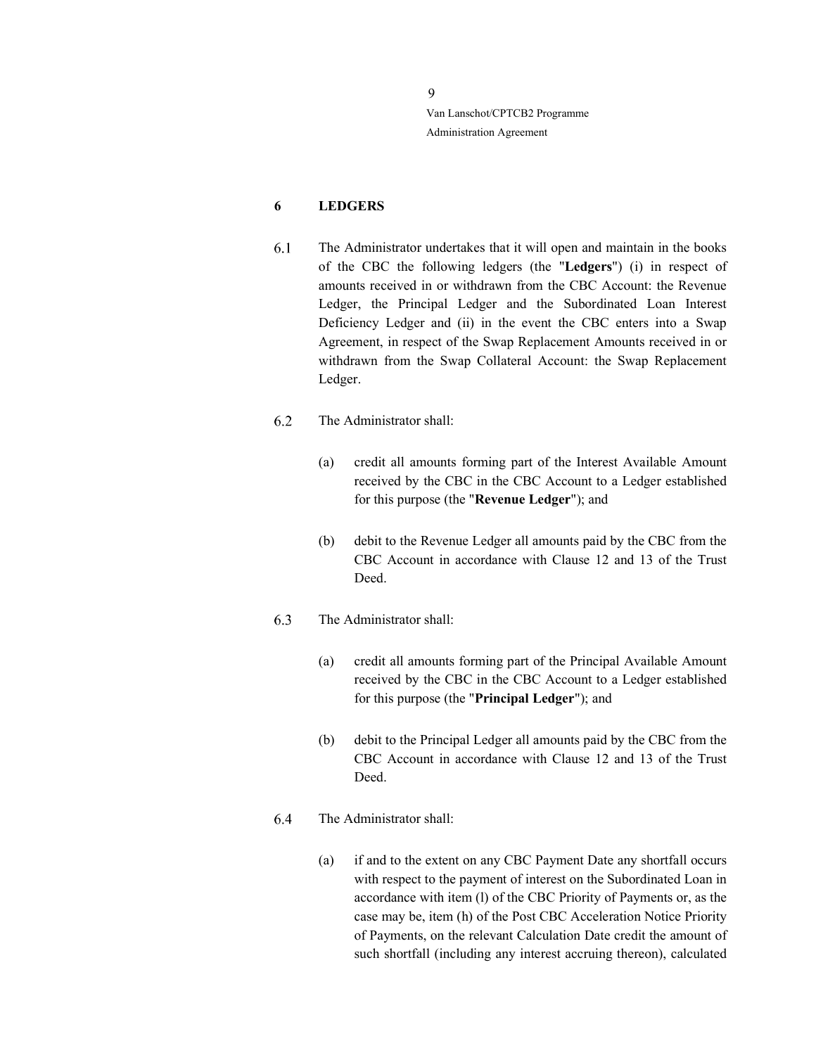# 6 LEDGERS

- 6.1 The Administrator undertakes that it will open and maintain in the books of the CBC the following ledgers (the "Ledgers") (i) in respect of amounts received in or withdrawn from the CBC Account: the Revenue Ledger, the Principal Ledger and the Subordinated Loan Interest Deficiency Ledger and (ii) in the event the CBC enters into a Swap Agreement, in respect of the Swap Replacement Amounts received in or withdrawn from the Swap Collateral Account: the Swap Replacement Ledger.
- 6.2 The Administrator shall:
	- (a) credit all amounts forming part of the Interest Available Amount received by the CBC in the CBC Account to a Ledger established for this purpose (the "Revenue Ledger"); and
	- (b) debit to the Revenue Ledger all amounts paid by the CBC from the CBC Account in accordance with Clause 12 and 13 of the Trust Deed.
- 6.3 The Administrator shall:
	- (a) credit all amounts forming part of the Principal Available Amount received by the CBC in the CBC Account to a Ledger established for this purpose (the "Principal Ledger"); and
	- (b) debit to the Principal Ledger all amounts paid by the CBC from the CBC Account in accordance with Clause 12 and 13 of the Trust Deed.
- 6.4 The Administrator shall:
	- (a) if and to the extent on any CBC Payment Date any shortfall occurs with respect to the payment of interest on the Subordinated Loan in accordance with item (l) of the CBC Priority of Payments or, as the case may be, item (h) of the Post CBC Acceleration Notice Priority of Payments, on the relevant Calculation Date credit the amount of such shortfall (including any interest accruing thereon), calculated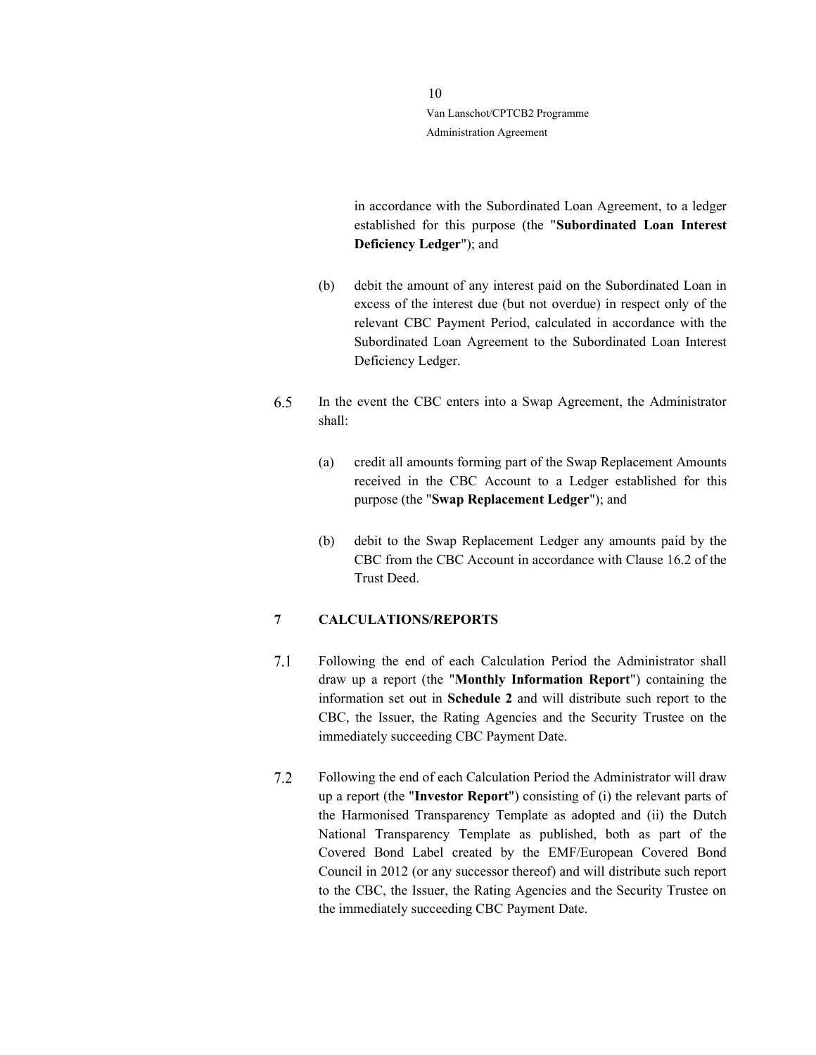> in accordance with the Subordinated Loan Agreement, to a ledger established for this purpose (the "Subordinated Loan Interest Deficiency Ledger"); and

- (b) debit the amount of any interest paid on the Subordinated Loan in excess of the interest due (but not overdue) in respect only of the relevant CBC Payment Period, calculated in accordance with the Subordinated Loan Agreement to the Subordinated Loan Interest Deficiency Ledger.
- 6.5 In the event the CBC enters into a Swap Agreement, the Administrator shall:
	- (a) credit all amounts forming part of the Swap Replacement Amounts received in the CBC Account to a Ledger established for this purpose (the "Swap Replacement Ledger"); and
	- (b) debit to the Swap Replacement Ledger any amounts paid by the CBC from the CBC Account in accordance with Clause 16.2 of the Trust Deed.

# 7 CALCULATIONS/REPORTS

- $7.1$ Following the end of each Calculation Period the Administrator shall draw up a report (the "Monthly Information Report") containing the information set out in Schedule 2 and will distribute such report to the CBC, the Issuer, the Rating Agencies and the Security Trustee on the immediately succeeding CBC Payment Date.
- $7.2$ Following the end of each Calculation Period the Administrator will draw up a report (the "Investor Report") consisting of (i) the relevant parts of the Harmonised Transparency Template as adopted and (ii) the Dutch National Transparency Template as published, both as part of the Covered Bond Label created by the EMF/European Covered Bond Council in 2012 (or any successor thereof) and will distribute such report to the CBC, the Issuer, the Rating Agencies and the Security Trustee on the immediately succeeding CBC Payment Date.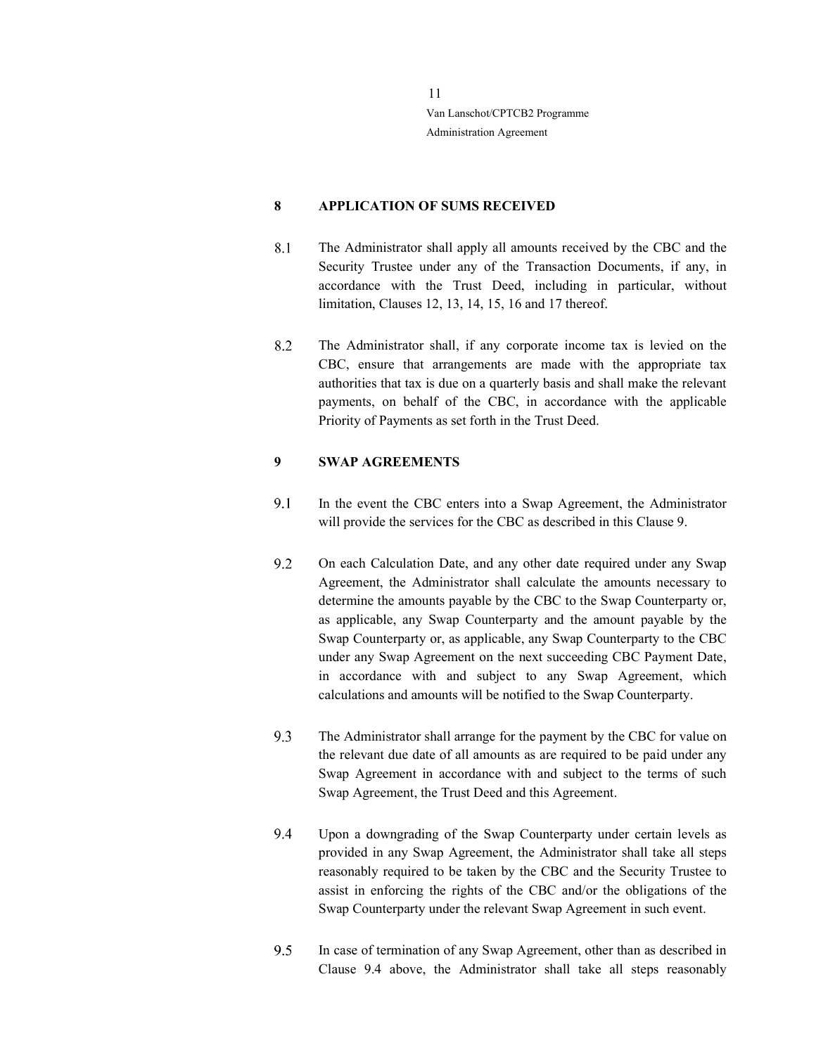### 8 APPLICATION OF SUMS RECEIVED

- 8.1 The Administrator shall apply all amounts received by the CBC and the Security Trustee under any of the Transaction Documents, if any, in accordance with the Trust Deed, including in particular, without limitation, Clauses 12, 13, 14, 15, 16 and 17 thereof.
- 8.2 The Administrator shall, if any corporate income tax is levied on the CBC, ensure that arrangements are made with the appropriate tax authorities that tax is due on a quarterly basis and shall make the relevant payments, on behalf of the CBC, in accordance with the applicable Priority of Payments as set forth in the Trust Deed.

# 9 SWAP AGREEMENTS

- 9.1 In the event the CBC enters into a Swap Agreement, the Administrator will provide the services for the CBC as described in this Clause 9.
- 9.2 On each Calculation Date, and any other date required under any Swap Agreement, the Administrator shall calculate the amounts necessary to determine the amounts payable by the CBC to the Swap Counterparty or, as applicable, any Swap Counterparty and the amount payable by the Swap Counterparty or, as applicable, any Swap Counterparty to the CBC under any Swap Agreement on the next succeeding CBC Payment Date, in accordance with and subject to any Swap Agreement, which calculations and amounts will be notified to the Swap Counterparty.
- 9.3 The Administrator shall arrange for the payment by the CBC for value on the relevant due date of all amounts as are required to be paid under any Swap Agreement in accordance with and subject to the terms of such Swap Agreement, the Trust Deed and this Agreement.
- 9.4 Upon a downgrading of the Swap Counterparty under certain levels as provided in any Swap Agreement, the Administrator shall take all steps reasonably required to be taken by the CBC and the Security Trustee to assist in enforcing the rights of the CBC and/or the obligations of the Swap Counterparty under the relevant Swap Agreement in such event.
- 9.5 In case of termination of any Swap Agreement, other than as described in Clause 9.4 above, the Administrator shall take all steps reasonably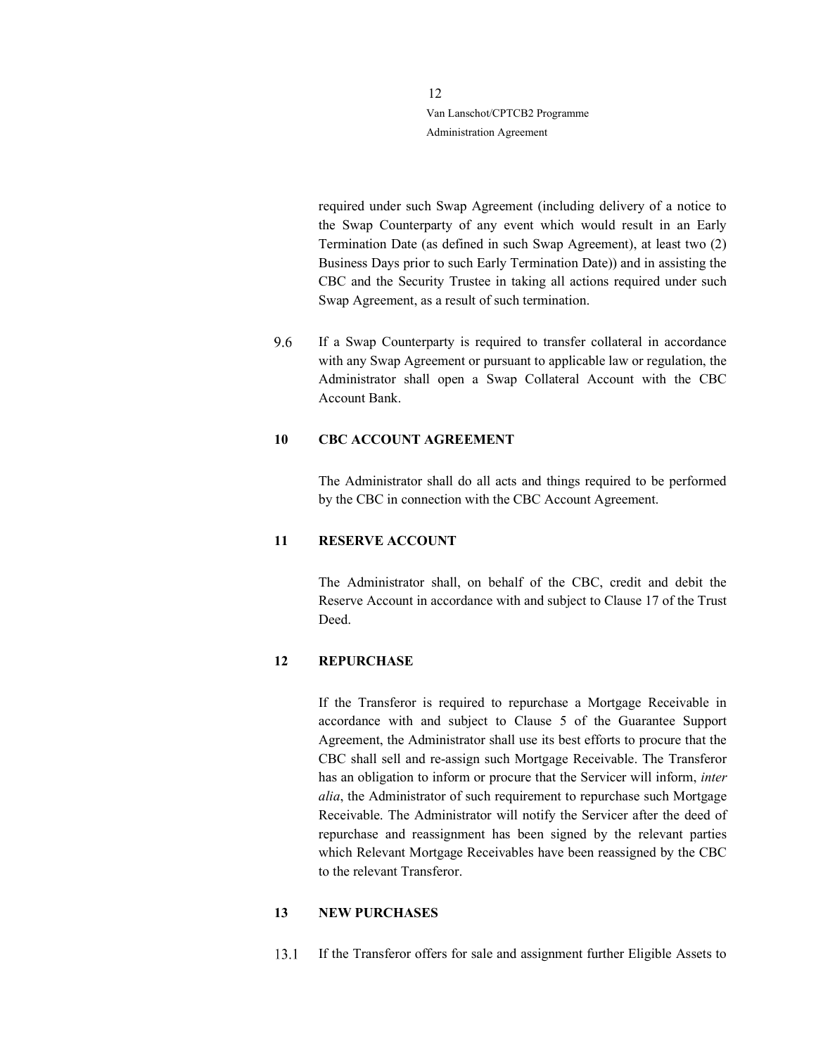> required under such Swap Agreement (including delivery of a notice to the Swap Counterparty of any event which would result in an Early Termination Date (as defined in such Swap Agreement), at least two (2) Business Days prior to such Early Termination Date)) and in assisting the CBC and the Security Trustee in taking all actions required under such Swap Agreement, as a result of such termination.

9.6 If a Swap Counterparty is required to transfer collateral in accordance with any Swap Agreement or pursuant to applicable law or regulation, the Administrator shall open a Swap Collateral Account with the CBC Account Bank.

#### 10 CBC ACCOUNT AGREEMENT

The Administrator shall do all acts and things required to be performed by the CBC in connection with the CBC Account Agreement.

#### 11 RESERVE ACCOUNT

The Administrator shall, on behalf of the CBC, credit and debit the Reserve Account in accordance with and subject to Clause 17 of the Trust Deed.

# 12 REPURCHASE

If the Transferor is required to repurchase a Mortgage Receivable in accordance with and subject to Clause 5 of the Guarantee Support Agreement, the Administrator shall use its best efforts to procure that the CBC shall sell and re-assign such Mortgage Receivable. The Transferor has an obligation to inform or procure that the Servicer will inform, inter alia, the Administrator of such requirement to repurchase such Mortgage Receivable. The Administrator will notify the Servicer after the deed of repurchase and reassignment has been signed by the relevant parties which Relevant Mortgage Receivables have been reassigned by the CBC to the relevant Transferor.

#### 13 NEW PURCHASES

13.1 If the Transferor offers for sale and assignment further Eligible Assets to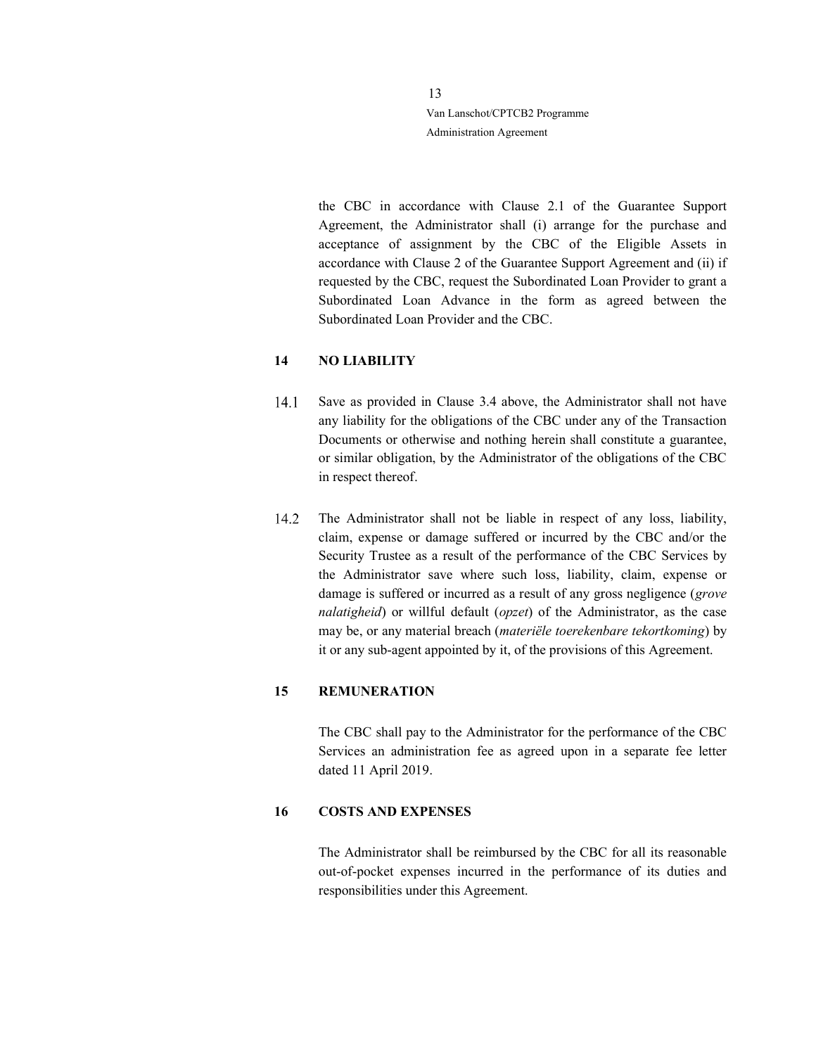> the CBC in accordance with Clause 2.1 of the Guarantee Support Agreement, the Administrator shall (i) arrange for the purchase and acceptance of assignment by the CBC of the Eligible Assets in accordance with Clause 2 of the Guarantee Support Agreement and (ii) if requested by the CBC, request the Subordinated Loan Provider to grant a Subordinated Loan Advance in the form as agreed between the Subordinated Loan Provider and the CBC.

# 14 NO LIABILITY

- Save as provided in Clause 3.4 above, the Administrator shall not have  $14.1$ any liability for the obligations of the CBC under any of the Transaction Documents or otherwise and nothing herein shall constitute a guarantee, or similar obligation, by the Administrator of the obligations of the CBC in respect thereof.
- 14.2 The Administrator shall not be liable in respect of any loss, liability, claim, expense or damage suffered or incurred by the CBC and/or the Security Trustee as a result of the performance of the CBC Services by the Administrator save where such loss, liability, claim, expense or damage is suffered or incurred as a result of any gross negligence (grove nalatigheid) or willful default (opzet) of the Administrator, as the case may be, or any material breach (materiële toerekenbare tekortkoming) by it or any sub-agent appointed by it, of the provisions of this Agreement.

#### 15 REMUNERATION

The CBC shall pay to the Administrator for the performance of the CBC Services an administration fee as agreed upon in a separate fee letter dated 11 April 2019.

#### 16 COSTS AND EXPENSES

The Administrator shall be reimbursed by the CBC for all its reasonable out-of-pocket expenses incurred in the performance of its duties and responsibilities under this Agreement.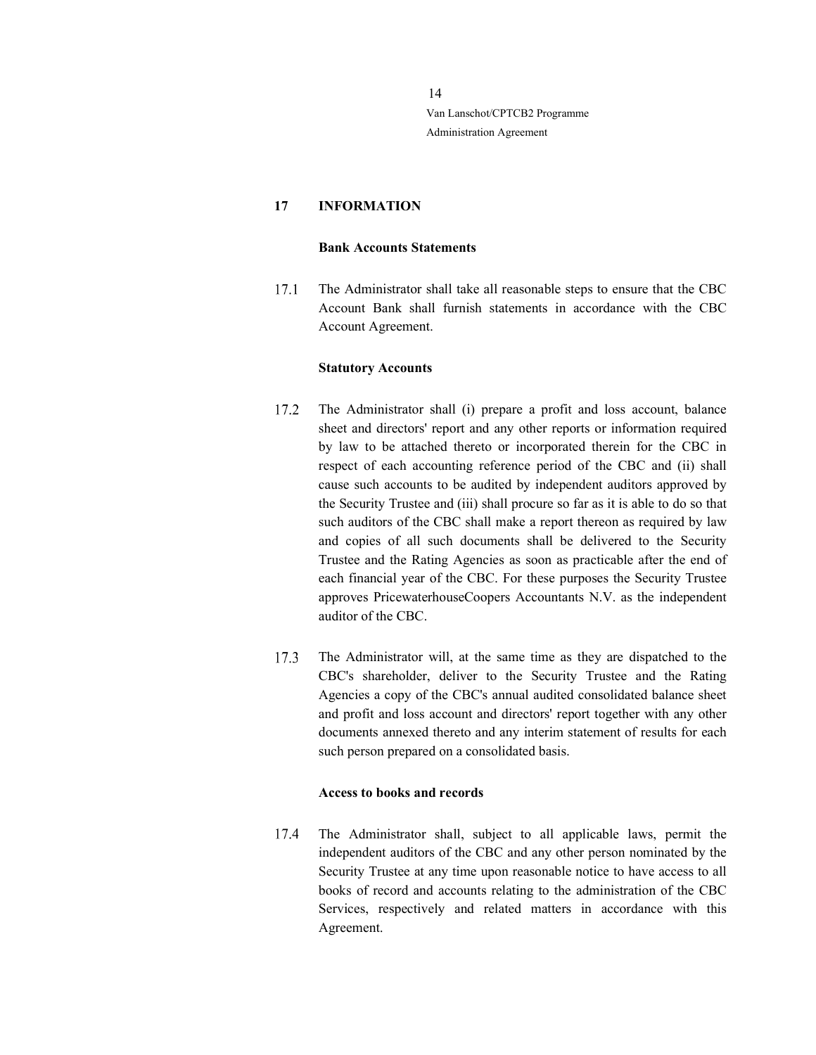# 17 INFORMATION

#### Bank Accounts Statements

 $17.1$ The Administrator shall take all reasonable steps to ensure that the CBC Account Bank shall furnish statements in accordance with the CBC Account Agreement.

#### Statutory Accounts

- 17.2 The Administrator shall (i) prepare a profit and loss account, balance sheet and directors' report and any other reports or information required by law to be attached thereto or incorporated therein for the CBC in respect of each accounting reference period of the CBC and (ii) shall cause such accounts to be audited by independent auditors approved by the Security Trustee and (iii) shall procure so far as it is able to do so that such auditors of the CBC shall make a report thereon as required by law and copies of all such documents shall be delivered to the Security Trustee and the Rating Agencies as soon as practicable after the end of each financial year of the CBC. For these purposes the Security Trustee approves PricewaterhouseCoopers Accountants N.V. as the independent auditor of the CBC.
- 17.3 The Administrator will, at the same time as they are dispatched to the CBC's shareholder, deliver to the Security Trustee and the Rating Agencies a copy of the CBC's annual audited consolidated balance sheet and profit and loss account and directors' report together with any other documents annexed thereto and any interim statement of results for each such person prepared on a consolidated basis.

#### Access to books and records

 $17.4$ The Administrator shall, subject to all applicable laws, permit the independent auditors of the CBC and any other person nominated by the Security Trustee at any time upon reasonable notice to have access to all books of record and accounts relating to the administration of the CBC Services, respectively and related matters in accordance with this Agreement.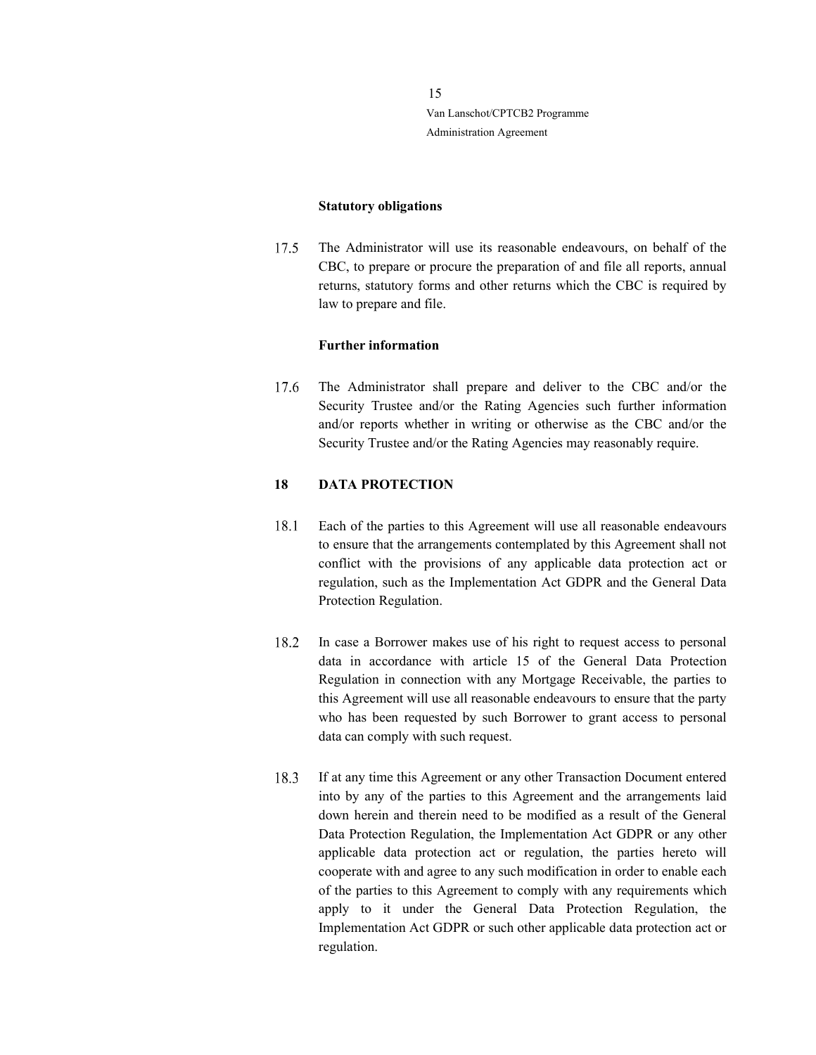#### Statutory obligations

The Administrator will use its reasonable endeavours, on behalf of the 17.5 CBC, to prepare or procure the preparation of and file all reports, annual returns, statutory forms and other returns which the CBC is required by law to prepare and file.

# Further information

17.6 The Administrator shall prepare and deliver to the CBC and/or the Security Trustee and/or the Rating Agencies such further information and/or reports whether in writing or otherwise as the CBC and/or the Security Trustee and/or the Rating Agencies may reasonably require.

# 18 DATA PROTECTION

- 18.1 Each of the parties to this Agreement will use all reasonable endeavours to ensure that the arrangements contemplated by this Agreement shall not conflict with the provisions of any applicable data protection act or regulation, such as the Implementation Act GDPR and the General Data Protection Regulation.
- In case a Borrower makes use of his right to request access to personal 18.2 data in accordance with article 15 of the General Data Protection Regulation in connection with any Mortgage Receivable, the parties to this Agreement will use all reasonable endeavours to ensure that the party who has been requested by such Borrower to grant access to personal data can comply with such request.
- 18.3 If at any time this Agreement or any other Transaction Document entered into by any of the parties to this Agreement and the arrangements laid down herein and therein need to be modified as a result of the General Data Protection Regulation, the Implementation Act GDPR or any other applicable data protection act or regulation, the parties hereto will cooperate with and agree to any such modification in order to enable each of the parties to this Agreement to comply with any requirements which apply to it under the General Data Protection Regulation, the Implementation Act GDPR or such other applicable data protection act or regulation.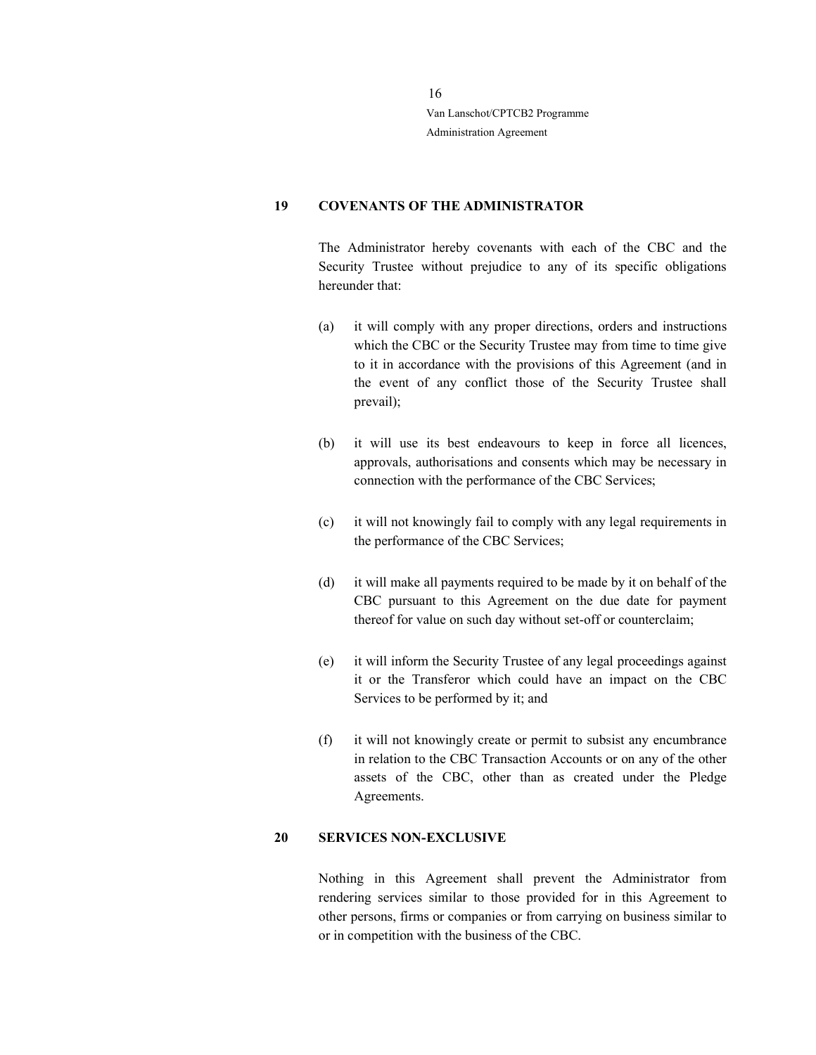### 19 COVENANTS OF THE ADMINISTRATOR

The Administrator hereby covenants with each of the CBC and the Security Trustee without prejudice to any of its specific obligations hereunder that:

- (a) it will comply with any proper directions, orders and instructions which the CBC or the Security Trustee may from time to time give to it in accordance with the provisions of this Agreement (and in the event of any conflict those of the Security Trustee shall prevail);
- (b) it will use its best endeavours to keep in force all licences, approvals, authorisations and consents which may be necessary in connection with the performance of the CBC Services;
- (c) it will not knowingly fail to comply with any legal requirements in the performance of the CBC Services;
- (d) it will make all payments required to be made by it on behalf of the CBC pursuant to this Agreement on the due date for payment thereof for value on such day without set-off or counterclaim;
- (e) it will inform the Security Trustee of any legal proceedings against it or the Transferor which could have an impact on the CBC Services to be performed by it; and
- (f) it will not knowingly create or permit to subsist any encumbrance in relation to the CBC Transaction Accounts or on any of the other assets of the CBC, other than as created under the Pledge Agreements.

#### 20 SERVICES NON-EXCLUSIVE

Nothing in this Agreement shall prevent the Administrator from rendering services similar to those provided for in this Agreement to other persons, firms or companies or from carrying on business similar to or in competition with the business of the CBC.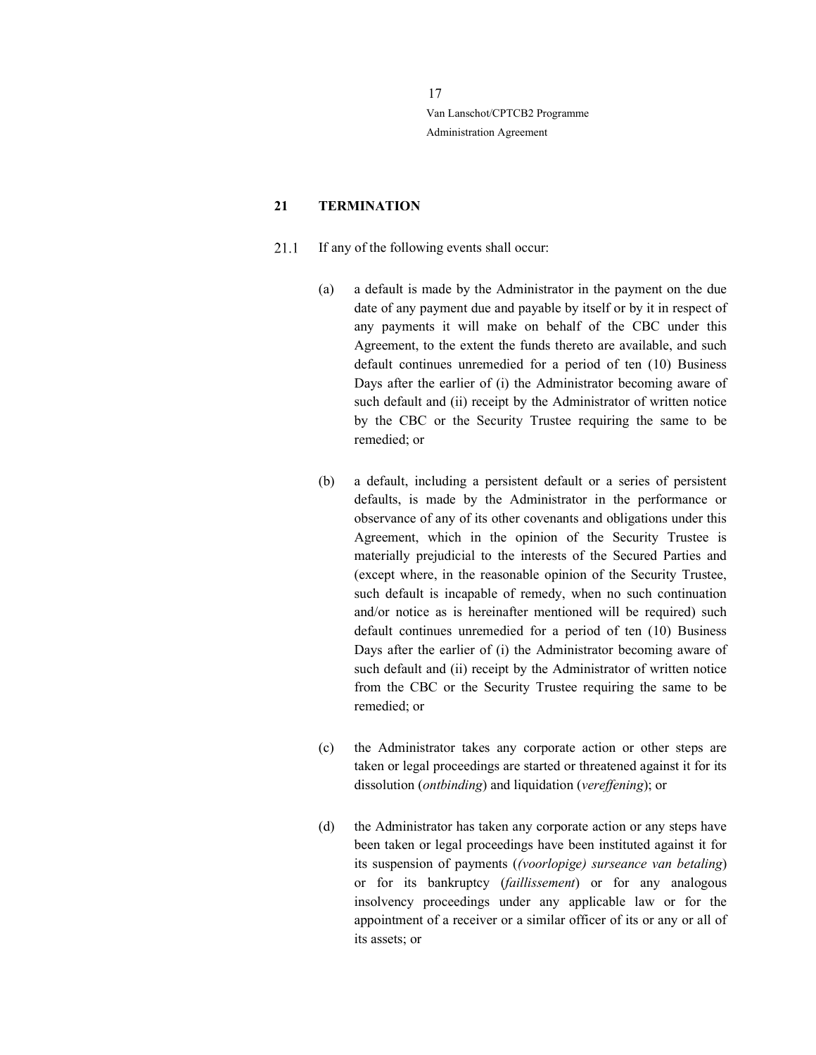# 21 TERMINATION

- 21.1 If any of the following events shall occur:
	- (a) a default is made by the Administrator in the payment on the due date of any payment due and payable by itself or by it in respect of any payments it will make on behalf of the CBC under this Agreement, to the extent the funds thereto are available, and such default continues unremedied for a period of ten (10) Business Days after the earlier of (i) the Administrator becoming aware of such default and (ii) receipt by the Administrator of written notice by the CBC or the Security Trustee requiring the same to be remedied; or
	- (b) a default, including a persistent default or a series of persistent defaults, is made by the Administrator in the performance or observance of any of its other covenants and obligations under this Agreement, which in the opinion of the Security Trustee is materially prejudicial to the interests of the Secured Parties and (except where, in the reasonable opinion of the Security Trustee, such default is incapable of remedy, when no such continuation and/or notice as is hereinafter mentioned will be required) such default continues unremedied for a period of ten (10) Business Days after the earlier of (i) the Administrator becoming aware of such default and (ii) receipt by the Administrator of written notice from the CBC or the Security Trustee requiring the same to be remedied; or
	- (c) the Administrator takes any corporate action or other steps are taken or legal proceedings are started or threatened against it for its dissolution (ontbinding) and liquidation (vereffening); or
	- (d) the Administrator has taken any corporate action or any steps have been taken or legal proceedings have been instituted against it for its suspension of payments ((voorlopige) surseance van betaling) or for its bankruptcy (faillissement) or for any analogous insolvency proceedings under any applicable law or for the appointment of a receiver or a similar officer of its or any or all of its assets; or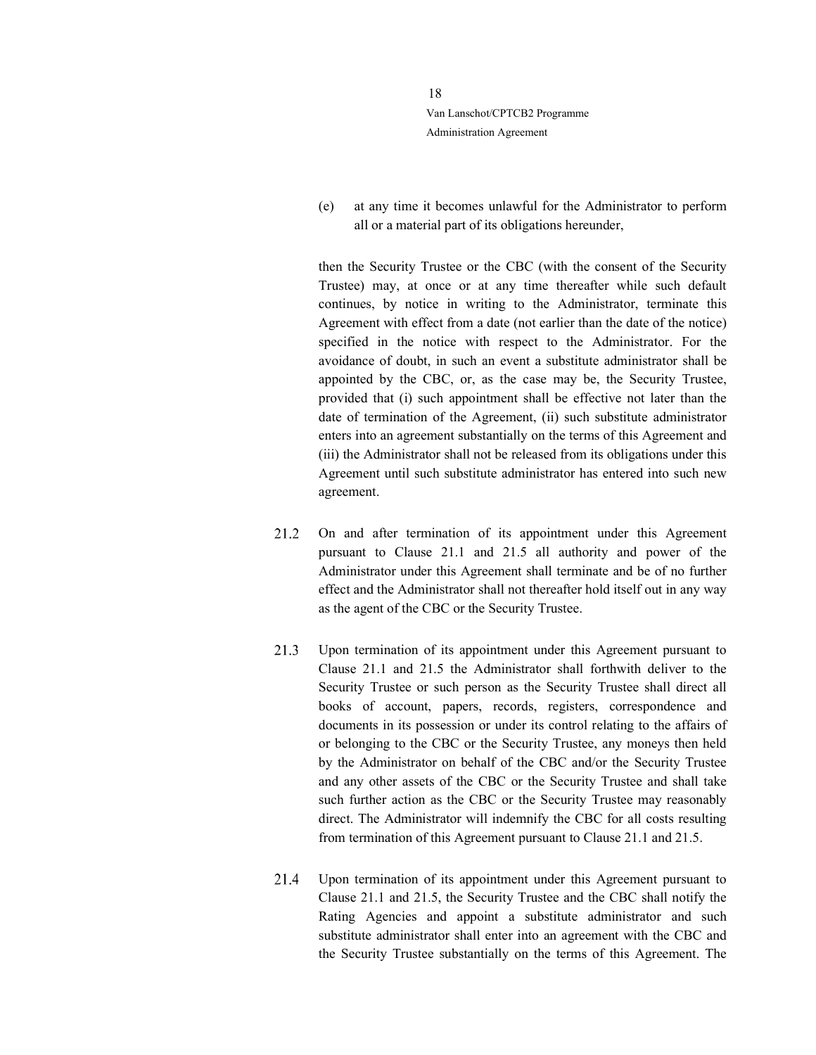> (e) at any time it becomes unlawful for the Administrator to perform all or a material part of its obligations hereunder,

> then the Security Trustee or the CBC (with the consent of the Security Trustee) may, at once or at any time thereafter while such default continues, by notice in writing to the Administrator, terminate this Agreement with effect from a date (not earlier than the date of the notice) specified in the notice with respect to the Administrator. For the avoidance of doubt, in such an event a substitute administrator shall be appointed by the CBC, or, as the case may be, the Security Trustee, provided that (i) such appointment shall be effective not later than the date of termination of the Agreement, (ii) such substitute administrator enters into an agreement substantially on the terms of this Agreement and (iii) the Administrator shall not be released from its obligations under this Agreement until such substitute administrator has entered into such new agreement.

- 21.2 On and after termination of its appointment under this Agreement pursuant to Clause 21.1 and 21.5 all authority and power of the Administrator under this Agreement shall terminate and be of no further effect and the Administrator shall not thereafter hold itself out in any way as the agent of the CBC or the Security Trustee.
- 21.3 Upon termination of its appointment under this Agreement pursuant to Clause 21.1 and 21.5 the Administrator shall forthwith deliver to the Security Trustee or such person as the Security Trustee shall direct all books of account, papers, records, registers, correspondence and documents in its possession or under its control relating to the affairs of or belonging to the CBC or the Security Trustee, any moneys then held by the Administrator on behalf of the CBC and/or the Security Trustee and any other assets of the CBC or the Security Trustee and shall take such further action as the CBC or the Security Trustee may reasonably direct. The Administrator will indemnify the CBC for all costs resulting from termination of this Agreement pursuant to Clause 21.1 and 21.5.
- 21.4 Upon termination of its appointment under this Agreement pursuant to Clause 21.1 and 21.5, the Security Trustee and the CBC shall notify the Rating Agencies and appoint a substitute administrator and such substitute administrator shall enter into an agreement with the CBC and the Security Trustee substantially on the terms of this Agreement. The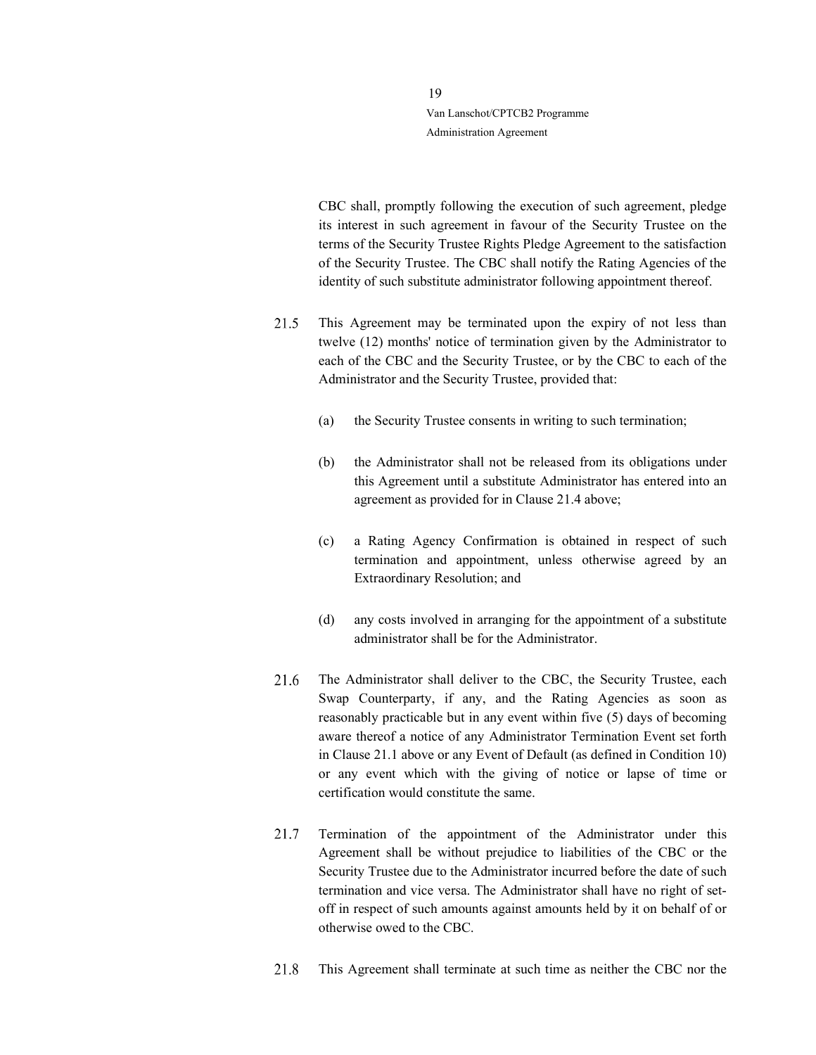> CBC shall, promptly following the execution of such agreement, pledge its interest in such agreement in favour of the Security Trustee on the terms of the Security Trustee Rights Pledge Agreement to the satisfaction of the Security Trustee. The CBC shall notify the Rating Agencies of the identity of such substitute administrator following appointment thereof.

- 21.5 This Agreement may be terminated upon the expiry of not less than twelve (12) months' notice of termination given by the Administrator to each of the CBC and the Security Trustee, or by the CBC to each of the Administrator and the Security Trustee, provided that:
	- (a) the Security Trustee consents in writing to such termination;
	- (b) the Administrator shall not be released from its obligations under this Agreement until a substitute Administrator has entered into an agreement as provided for in Clause 21.4 above;
	- (c) a Rating Agency Confirmation is obtained in respect of such termination and appointment, unless otherwise agreed by an Extraordinary Resolution; and
	- (d) any costs involved in arranging for the appointment of a substitute administrator shall be for the Administrator.
- 21.6 The Administrator shall deliver to the CBC, the Security Trustee, each Swap Counterparty, if any, and the Rating Agencies as soon as reasonably practicable but in any event within five (5) days of becoming aware thereof a notice of any Administrator Termination Event set forth in Clause 21.1 above or any Event of Default (as defined in Condition 10) or any event which with the giving of notice or lapse of time or certification would constitute the same.
- 21.7 Termination of the appointment of the Administrator under this Agreement shall be without prejudice to liabilities of the CBC or the Security Trustee due to the Administrator incurred before the date of such termination and vice versa. The Administrator shall have no right of setoff in respect of such amounts against amounts held by it on behalf of or otherwise owed to the CBC.
- 21.8 This Agreement shall terminate at such time as neither the CBC nor the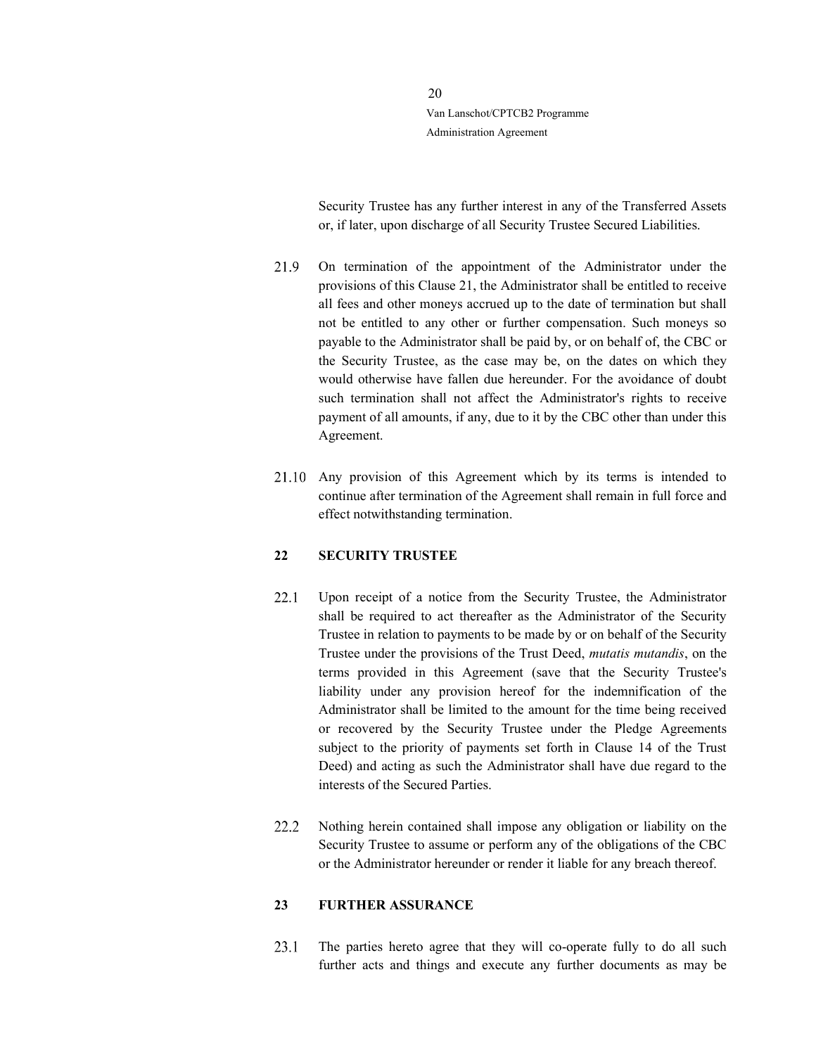> Security Trustee has any further interest in any of the Transferred Assets or, if later, upon discharge of all Security Trustee Secured Liabilities.

- 21.9 On termination of the appointment of the Administrator under the provisions of this Clause 21, the Administrator shall be entitled to receive all fees and other moneys accrued up to the date of termination but shall not be entitled to any other or further compensation. Such moneys so payable to the Administrator shall be paid by, or on behalf of, the CBC or the Security Trustee, as the case may be, on the dates on which they would otherwise have fallen due hereunder. For the avoidance of doubt such termination shall not affect the Administrator's rights to receive payment of all amounts, if any, due to it by the CBC other than under this Agreement.
- Any provision of this Agreement which by its terms is intended to continue after termination of the Agreement shall remain in full force and effect notwithstanding termination.

#### 22 SECURITY TRUSTEE

- 22.1 Upon receipt of a notice from the Security Trustee, the Administrator shall be required to act thereafter as the Administrator of the Security Trustee in relation to payments to be made by or on behalf of the Security Trustee under the provisions of the Trust Deed, mutatis mutandis, on the terms provided in this Agreement (save that the Security Trustee's liability under any provision hereof for the indemnification of the Administrator shall be limited to the amount for the time being received or recovered by the Security Trustee under the Pledge Agreements subject to the priority of payments set forth in Clause 14 of the Trust Deed) and acting as such the Administrator shall have due regard to the interests of the Secured Parties.
- 22.2 Nothing herein contained shall impose any obligation or liability on the Security Trustee to assume or perform any of the obligations of the CBC or the Administrator hereunder or render it liable for any breach thereof.

### 23 FURTHER ASSURANCE

23.1 The parties hereto agree that they will co-operate fully to do all such further acts and things and execute any further documents as may be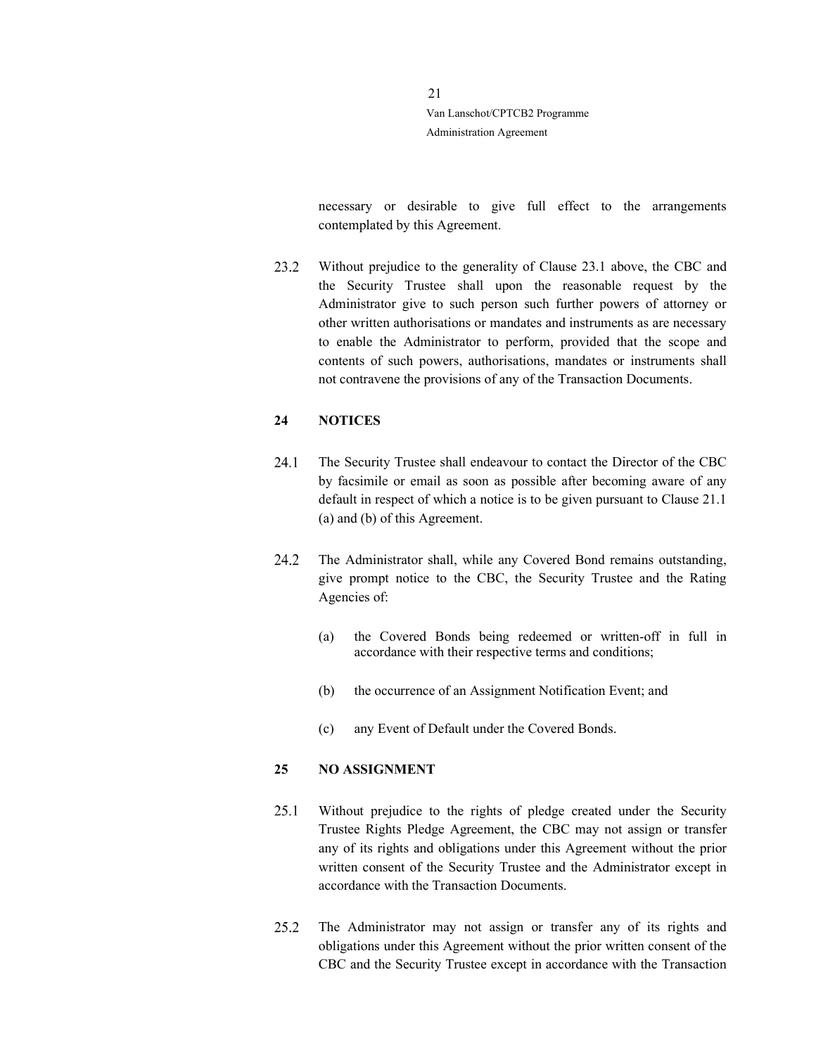> necessary or desirable to give full effect to the arrangements contemplated by this Agreement.

23.2 Without prejudice to the generality of Clause 23.1 above, the CBC and the Security Trustee shall upon the reasonable request by the Administrator give to such person such further powers of attorney or other written authorisations or mandates and instruments as are necessary to enable the Administrator to perform, provided that the scope and contents of such powers, authorisations, mandates or instruments shall not contravene the provisions of any of the Transaction Documents.

### 24 NOTICES

- 24.1 The Security Trustee shall endeavour to contact the Director of the CBC by facsimile or email as soon as possible after becoming aware of any default in respect of which a notice is to be given pursuant to Clause 21.1 (a) and (b) of this Agreement.
- $24.2$ The Administrator shall, while any Covered Bond remains outstanding, give prompt notice to the CBC, the Security Trustee and the Rating Agencies of:
	- (a) the Covered Bonds being redeemed or written-off in full in accordance with their respective terms and conditions;
	- (b) the occurrence of an Assignment Notification Event; and
	- (c) any Event of Default under the Covered Bonds.

#### 25 NO ASSIGNMENT

- 25.1 Without prejudice to the rights of pledge created under the Security Trustee Rights Pledge Agreement, the CBC may not assign or transfer any of its rights and obligations under this Agreement without the prior written consent of the Security Trustee and the Administrator except in accordance with the Transaction Documents.
- $25.2$ The Administrator may not assign or transfer any of its rights and obligations under this Agreement without the prior written consent of the CBC and the Security Trustee except in accordance with the Transaction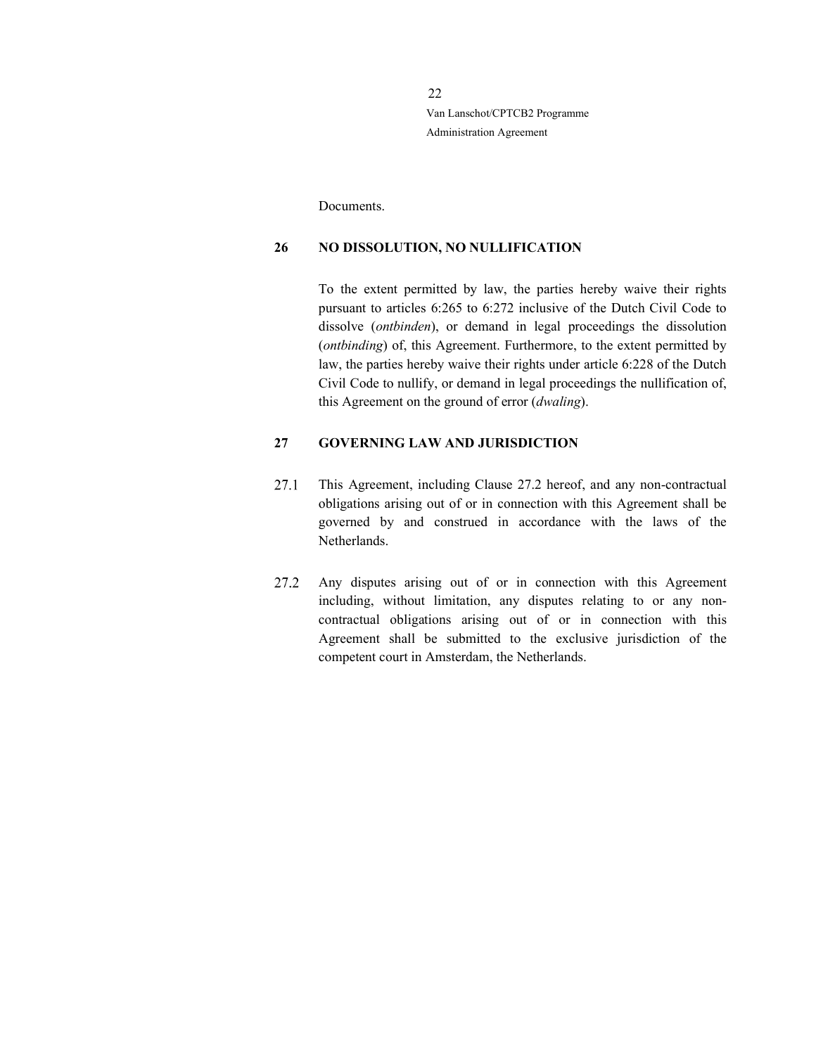Documents.

#### 26 NO DISSOLUTION, NO NULLIFICATION

To the extent permitted by law, the parties hereby waive their rights pursuant to articles 6:265 to 6:272 inclusive of the Dutch Civil Code to dissolve (ontbinden), or demand in legal proceedings the dissolution (ontbinding) of, this Agreement. Furthermore, to the extent permitted by law, the parties hereby waive their rights under article 6:228 of the Dutch Civil Code to nullify, or demand in legal proceedings the nullification of, this Agreement on the ground of error (dwaling).

# 27 GOVERNING LAW AND JURISDICTION

- 27.1 This Agreement, including Clause 27.2 hereof, and any non-contractual obligations arising out of or in connection with this Agreement shall be governed by and construed in accordance with the laws of the Netherlands.
- Any disputes arising out of or in connection with this Agreement 27.2 including, without limitation, any disputes relating to or any noncontractual obligations arising out of or in connection with this Agreement shall be submitted to the exclusive jurisdiction of the competent court in Amsterdam, the Netherlands.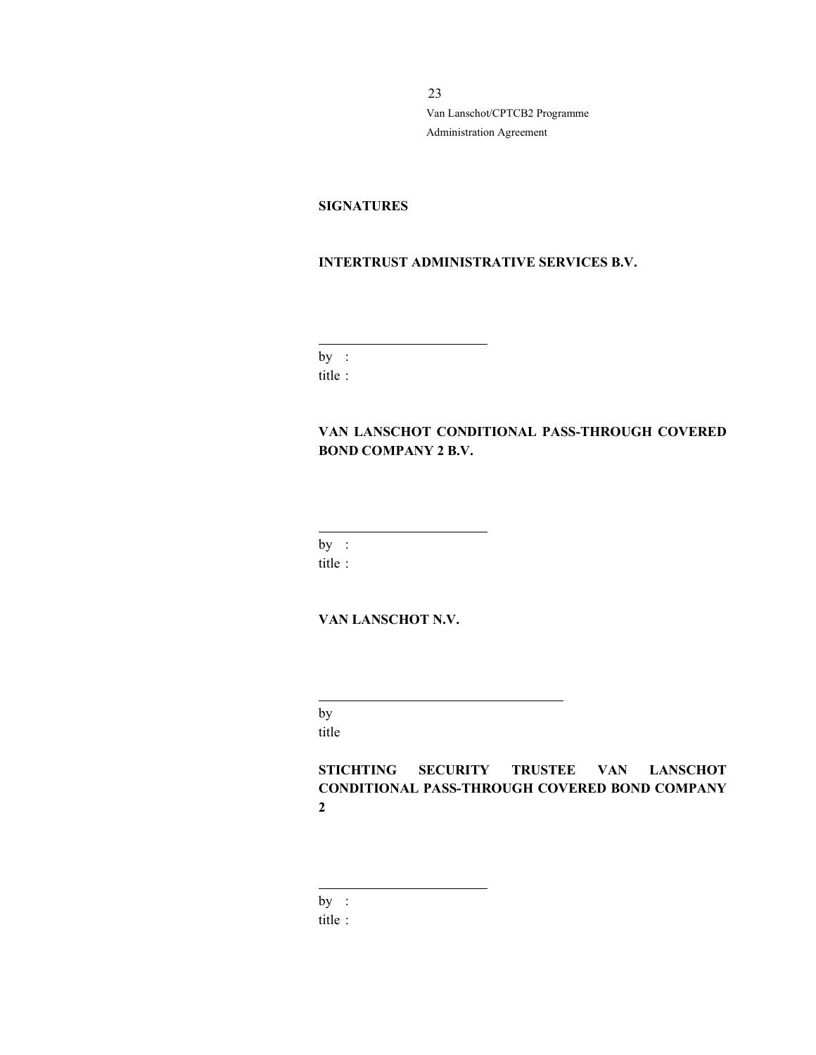# **SIGNATURES**

# INTERTRUST ADMINISTRATIVE SERVICES B.V.

by : title :

 $\overline{a}$ 

# VAN LANSCHOT CONDITIONAL PASS-THROUGH COVERED BOND COMPANY 2 B.V.

by :

 $\overline{a}$ 

title :

# VAN LANSCHOT N.V.

by title

 $\overline{\phantom{a}}$ 

STICHTING SECURITY TRUSTEE VAN LANSCHOT CONDITIONAL PASS-THROUGH COVERED BOND COMPANY 2

by :

 $\overline{a}$ 

title :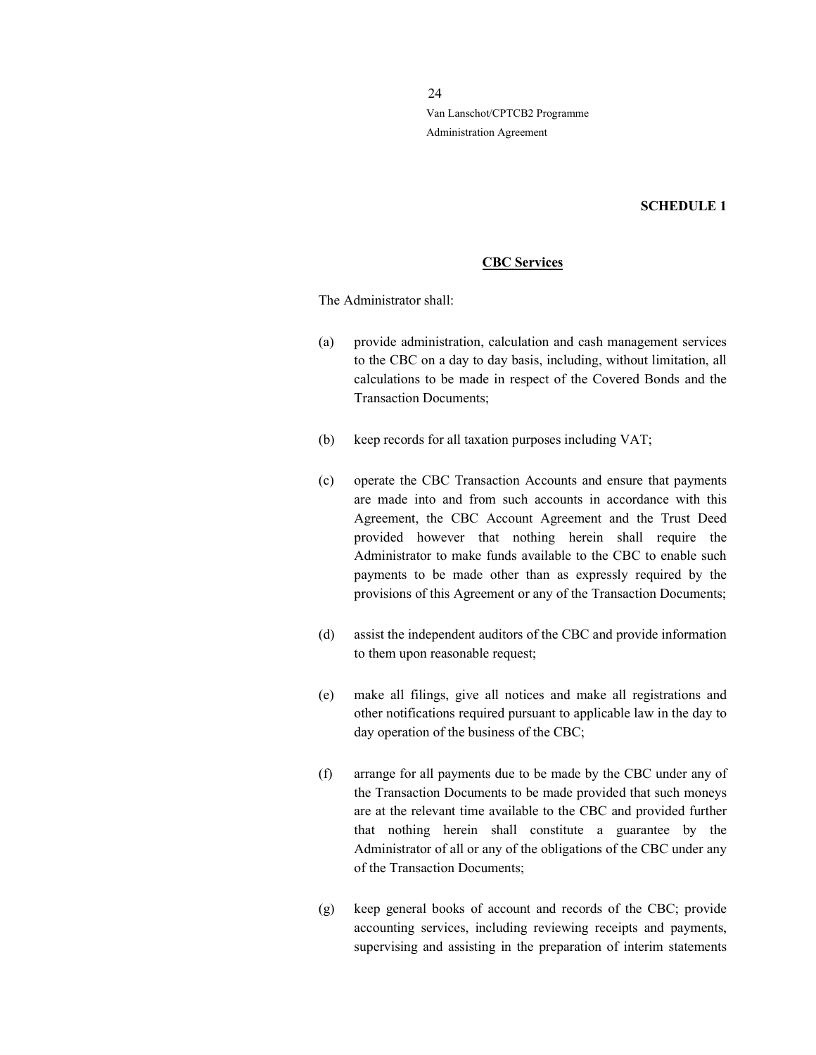# SCHEDULE 1

### CBC Services

The Administrator shall:

- (a) provide administration, calculation and cash management services to the CBC on a day to day basis, including, without limitation, all calculations to be made in respect of the Covered Bonds and the Transaction Documents;
- (b) keep records for all taxation purposes including VAT;
- (c) operate the CBC Transaction Accounts and ensure that payments are made into and from such accounts in accordance with this Agreement, the CBC Account Agreement and the Trust Deed provided however that nothing herein shall require the Administrator to make funds available to the CBC to enable such payments to be made other than as expressly required by the provisions of this Agreement or any of the Transaction Documents;
- (d) assist the independent auditors of the CBC and provide information to them upon reasonable request;
- (e) make all filings, give all notices and make all registrations and other notifications required pursuant to applicable law in the day to day operation of the business of the CBC;
- (f) arrange for all payments due to be made by the CBC under any of the Transaction Documents to be made provided that such moneys are at the relevant time available to the CBC and provided further that nothing herein shall constitute a guarantee by the Administrator of all or any of the obligations of the CBC under any of the Transaction Documents;
- (g) keep general books of account and records of the CBC; provide accounting services, including reviewing receipts and payments, supervising and assisting in the preparation of interim statements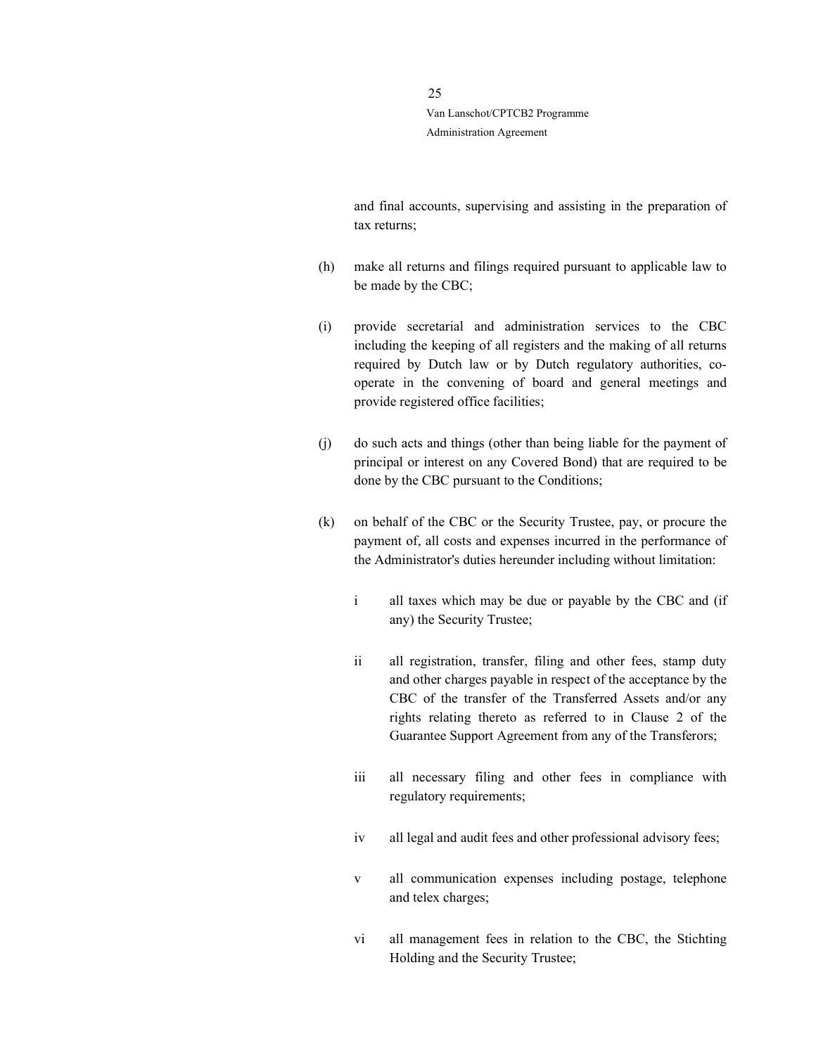> and final accounts, supervising and assisting in the preparation of tax returns;

- (h) make all returns and filings required pursuant to applicable law to be made by the CBC;
- (i) provide secretarial and administration services to the CBC including the keeping of all registers and the making of all returns required by Dutch law or by Dutch regulatory authorities, cooperate in the convening of board and general meetings and provide registered office facilities;
- (j) do such acts and things (other than being liable for the payment of principal or interest on any Covered Bond) that are required to be done by the CBC pursuant to the Conditions;
- (k) on behalf of the CBC or the Security Trustee, pay, or procure the payment of, all costs and expenses incurred in the performance of the Administrator's duties hereunder including without limitation:
	- i all taxes which may be due or payable by the CBC and (if any) the Security Trustee;
	- ii all registration, transfer, filing and other fees, stamp duty and other charges payable in respect of the acceptance by the CBC of the transfer of the Transferred Assets and/or any rights relating thereto as referred to in Clause 2 of the Guarantee Support Agreement from any of the Transferors;
	- iii all necessary filing and other fees in compliance with regulatory requirements;
	- iv all legal and audit fees and other professional advisory fees;
	- v all communication expenses including postage, telephone and telex charges;
	- vi all management fees in relation to the CBC, the Stichting Holding and the Security Trustee;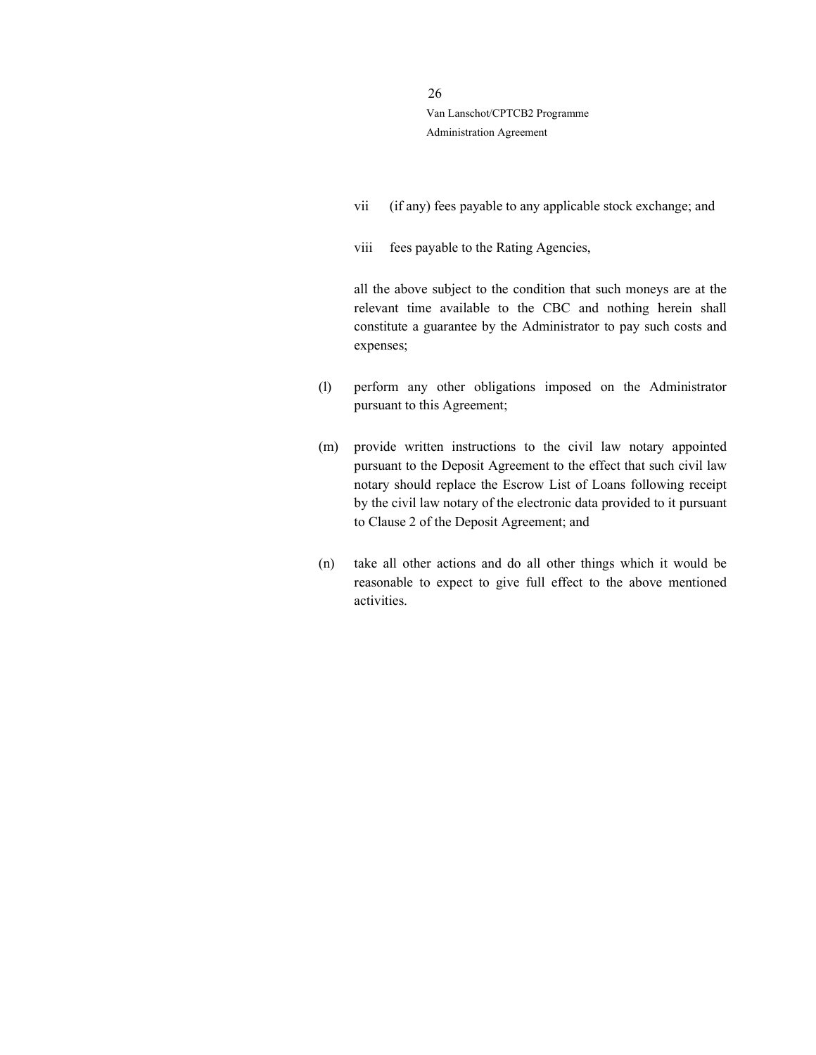- vii (if any) fees payable to any applicable stock exchange; and
- viii fees payable to the Rating Agencies,

all the above subject to the condition that such moneys are at the relevant time available to the CBC and nothing herein shall constitute a guarantee by the Administrator to pay such costs and expenses;

- (l) perform any other obligations imposed on the Administrator pursuant to this Agreement;
- (m) provide written instructions to the civil law notary appointed pursuant to the Deposit Agreement to the effect that such civil law notary should replace the Escrow List of Loans following receipt by the civil law notary of the electronic data provided to it pursuant to Clause 2 of the Deposit Agreement; and
- (n) take all other actions and do all other things which it would be reasonable to expect to give full effect to the above mentioned activities.